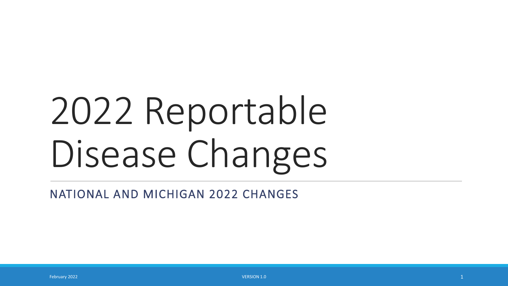# 2022 Reportable Disease Changes

NATIONAL AND MICHIGAN 2022 CHANGES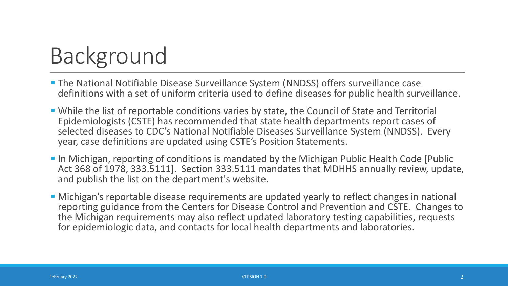# Background

- The National Notifiable Disease Surveillance System (NNDSS) offers surveillance case definitions with a set of uniform criteria used to define diseases for public health surveillance.
- While the list of reportable conditions varies by state, the Council of State and Territorial Epidemiologists (CSTE) has recommended that state health departments report cases of selected diseases to CDC's National Notifiable Diseases Surveillance System (NNDSS). Every year, case definitions are updated using CSTE's Position Statements.
- **IF In Michigan, reporting of conditions is mandated by the Michigan Public Health Code [Public 4** Act 368 of 1978, 333.5111]. Section 333.5111 mandates that MDHHS annually review, update, and publish the list on the department's website.
- Michigan's reportable disease requirements are updated yearly to reflect changes in national reporting guidance from the Centers for Disease Control and Prevention and CSTE. Changes to the Michigan requirements may also reflect updated laboratory testing capabilities, requests for epidemiologic data, and contacts for local health departments and laboratories.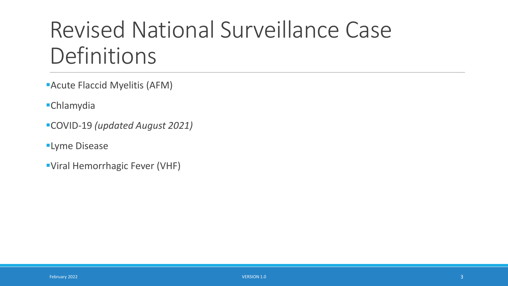# Revised National Surveillance Case **Definitions**

- Acute Flaccid Myelitis (AFM)
- Chlamydia
- COVID-19 *(updated August 2021)*
- **Lyme Disease**
- Viral Hemorrhagic Fever (VHF)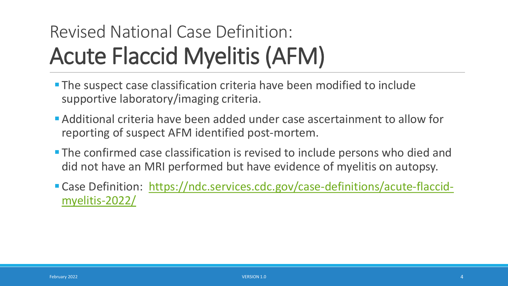### Revised National Case Definition: Acute Flaccid Myelitis (AFM)

- The suspect case classification criteria have been modified to include supportive laboratory/imaging criteria.
- Additional criteria have been added under case ascertainment to allow for reporting of suspect AFM identified post-mortem.
- **The confirmed case classification is revised to include persons who died and** did not have an MRI performed but have evidence of myelitis on autopsy.
- [Case Definition: https://ndc.services.cdc.gov/case-definitions/acute-flaccid](https://ndc.services.cdc.gov/case-definitions/acute-flaccid-myelitis-2022/)myelitis-2022/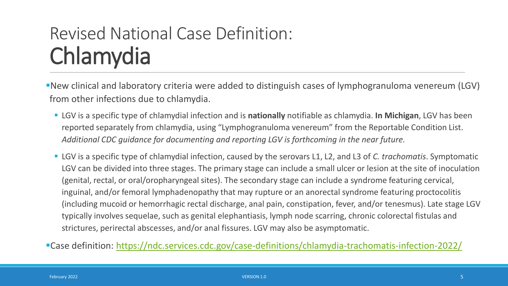#### Revised National Case Definition: Chlamydia

New clinical and laboratory criteria were added to distinguish cases of lymphogranuloma venereum (LGV) from other infections due to chlamydia.

- LGV is a specific type of chlamydial infection and is **nationally** notifiable as chlamydia. **In Michigan**, LGV has been reported separately from chlamydia, using "Lymphogranuloma venereum" from the Reportable Condition List. *Additional CDC guidance for documenting and reporting LGV is forthcoming in the near future.*
- LGV is a specific type of chlamydial infection, caused by the serovars L1, L2, and L3 of *C. trachomatis*. Symptomatic LGV can be divided into three stages. The primary stage can include a small ulcer or lesion at the site of inoculation (genital, rectal, or oral/oropharyngeal sites). The secondary stage can include a syndrome featuring cervical, inguinal, and/or femoral lymphadenopathy that may rupture or an anorectal syndrome featuring proctocolitis (including mucoid or hemorrhagic rectal discharge, anal pain, constipation, fever, and/or tenesmus). Late stage LGV typically involves sequelae, such as genital elephantiasis, lymph node scarring, chronic colorectal fistulas and strictures, perirectal abscesses, and/or anal fissures. LGV may also be asymptomatic.

Case definition:<https://ndc.services.cdc.gov/case-definitions/chlamydia-trachomatis-infection-2022/>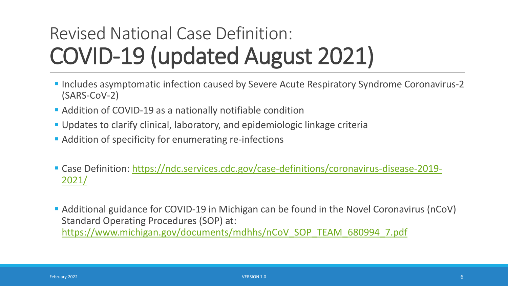### Revised National Case Definition: COVID-19 (updated August 2021)

- **Includes asymptomatic infection caused by Severe Acute Respiratory Syndrome Coronavirus-2** (SARS-CoV-2)
- Addition of COVID-19 as a nationally notifiable condition
- Updates to clarify clinical, laboratory, and epidemiologic linkage criteria
- **Addition of specificity for enumerating re-infections**
- [Case Definition: https://ndc.services.cdc.gov/case-definitions/coronavirus-disease-2019-](https://ndc.services.cdc.gov/case-definitions/coronavirus-disease-2019-2021/) 2021/

 Additional guidance for COVID-19 in Michigan can be found in the Novel Coronavirus (nCoV) Standard Operating Procedures (SOP) at: [https://www.michigan.gov/documents/mdhhs/nCoV\\_SOP\\_TEAM\\_680994\\_7.pdf](https://www.michigan.gov/documents/mdhhs/nCoV_SOP_TEAM_680994_7.pdf)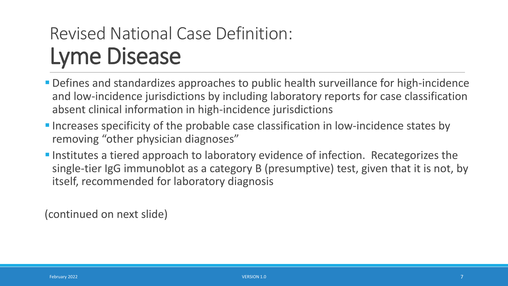#### Revised National Case Definition: Lyme Disease

- Defines and standardizes approaches to public health surveillance for high-incidence and low-incidence jurisdictions by including laboratory reports for case classification absent clinical information in high-incidence jurisdictions
- Increases specificity of the probable case classification in low-incidence states by removing "other physician diagnoses"
- **Institutes a tiered approach to laboratory evidence of infection. Recategorizes the** single-tier IgG immunoblot as a category B (presumptive) test, given that it is not, by itself, recommended for laboratory diagnosis

(continued on next slide)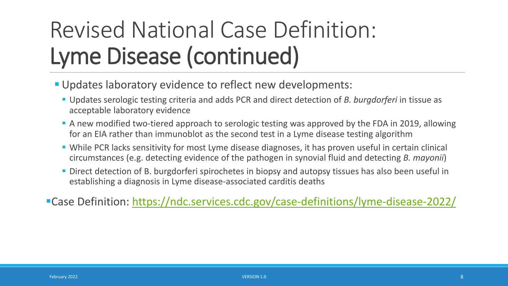# Revised National Case Definition: Lyme Disease (continued)

- Updates laboratory evidence to reflect new developments:
	- Updates serologic testing criteria and adds PCR and direct detection of *B. burgdorferi* in tissue as acceptable laboratory evidence
	- A new modified two-tiered approach to serologic testing was approved by the FDA in 2019, allowing for an EIA rather than immunoblot as the second test in a Lyme disease testing algorithm
	- While PCR lacks sensitivity for most Lyme disease diagnoses, it has proven useful in certain clinical circumstances (e.g. detecting evidence of the pathogen in synovial fluid and detecting *B. mayonii*)
	- **Direct detection of B. burgdorferi spirochetes in biopsy and autopsy tissues has also been useful in** establishing a diagnosis in Lyme disease-associated carditis deaths
- Case Definition: <https://ndc.services.cdc.gov/case-definitions/lyme-disease-2022/>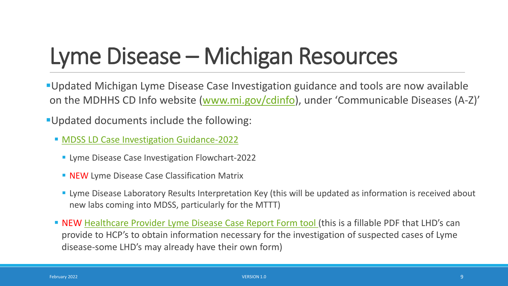# Lyme Disease – Michigan Resources

Updated Michigan Lyme Disease Case Investigation guidance and tools are now available on the MDHHS CD Info website ([www.mi.gov/cdinfo\)](http://www.mi.gov/cdinfo), under 'Communicable Diseases (A-Z)'

Updated documents include the following:

- **[MDSS LD Case Investigation Guidance-2022](https://www.michigan.gov/documents/emergingdiseases/2022_Lyme_Disease_Guidelines_-_Full_746636_7.pdf)** 
	- **Lyme Disease Case Investigation Flowchart-2022**
	- **NEW** Lyme Disease Case Classification Matrix
	- **Example 20** Lyme Disease Laboratory Results Interpretation Key (this will be updated as information is received about new labs coming into MDSS, particularly for the MTTT)
- NEW [Healthcare Provider Lyme Disease Case Report Form tool \(](https://www.michigan.gov/documents/emergingdiseases/Case_Report_Form_Jan22_746638_7.pdf)this is a fillable PDF that LHD's can provide to HCP's to obtain information necessary for the investigation of suspected cases of Lyme disease-some LHD's may already have their own form)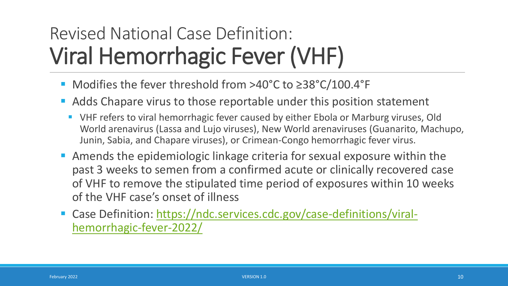### Revised National Case Definition: Viral Hemorrhagic Fever (VHF)

- Modifies the fever threshold from >40°C to ≥38°C/100.4°F
- Adds Chapare virus to those reportable under this position statement
	- VHF refers to viral hemorrhagic fever caused by either Ebola or Marburg viruses, Old World arenavirus (Lassa and Lujo viruses), New World arenaviruses (Guanarito, Machupo, Junin, Sabia, and Chapare viruses), or Crimean-Congo hemorrhagic fever virus.
- Amends the epidemiologic linkage criteria for sexual exposure within the past 3 weeks to semen from a confirmed acute or clinically recovered case of VHF to remove the stipulated time period of exposures within 10 weeks of the VHF case's onset of illness
- [Case Definition: https://ndc.services.cdc.gov/case-definitions/viral](https://ndc.services.cdc.gov/case-definitions/viral-hemorrhagic-fever-2022/)hemorrhagic-fever-2022/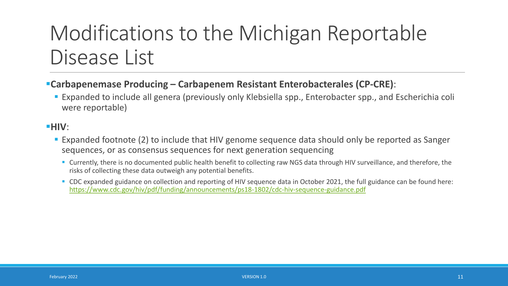#### Modifications to the Michigan Reportable Disease List

#### **Carbapenemase Producing – Carbapenem Resistant Enterobacterales (CP-CRE)**:

 Expanded to include all genera (previously only Klebsiella spp., Enterobacter spp., and Escherichia coli were reportable)

#### **HIV**:

- **Expanded footnote (2) to include that HIV genome sequence data should only be reported as Sanger** sequences, or as consensus sequences for next generation sequencing
	- Currently, there is no documented public health benefit to collecting raw NGS data through HIV surveillance, and therefore, the risks of collecting these data outweigh any potential benefits.
	- CDC expanded guidance on collection and reporting of HIV sequence data in October 2021, the full guidance can be found here: <https://www.cdc.gov/hiv/pdf/funding/announcements/ps18-1802/cdc-hiv-sequence-guidance.pdf>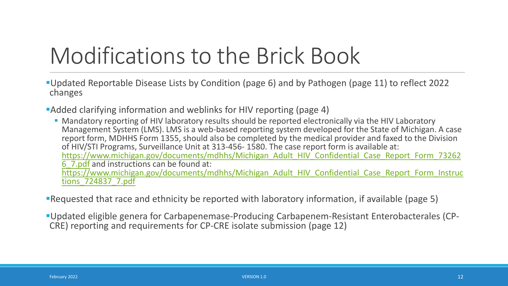# Modifications to the Brick Book

- Updated Reportable Disease Lists by Condition (page 6) and by Pathogen (page 11) to reflect 2022 changes
- Added clarifying information and weblinks for HIV reporting (page 4)
	- Mandatory reporting of HIV laboratory results should be reported electronically via the HIV Laboratory Management System (LMS). LMS is a web-based reporting system developed for the State of Michigan. A case report form, MDHHS Form 1355, should also be completed by the medical provider and faxed to the Division of HIV/STI Programs, Surveillance Unit at 313-456- 1580. The case report form is available at: [https://www.michigan.gov/documents/mdhhs/Michigan\\_Adult\\_HIV\\_Confidential\\_Case\\_Report\\_Form\\_73262](https://www.michigan.gov/documents/mdhhs/Michigan_Adult_HIV_Confidential_Case_Report_Form_732626_7.pdf) 6\_7.pdf and instructions can be found at: [https://www.michigan.gov/documents/mdhhs/Michigan\\_Adult\\_HIV\\_Confidential\\_Case\\_Report\\_Form\\_Instruc](https://www.michigan.gov/documents/mdhhs/Michigan_Adult_HIV_Confidential_Case_Report_Form_Instructions_724837_7.pdf) tions\_724837\_7.pdf
- Requested that race and ethnicity be reported with laboratory information, if available (page 5)
- Updated eligible genera for Carbapenemase-Producing Carbapenem-Resistant Enterobacterales (CP- CRE) reporting and requirements for CP-CRE isolate submission (page 12)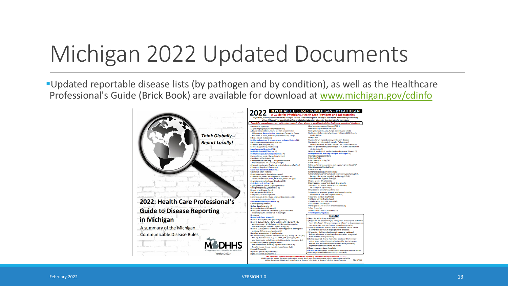# Michigan 2022 Updated Documents

Updated reportable disease lists (by pathogen and by condition), as well as the Healthcare Professional's Guide (Brick Book) are available for download at [www.michigan.gov/cdinfo](http://www.michigan.gov/cdinfo)